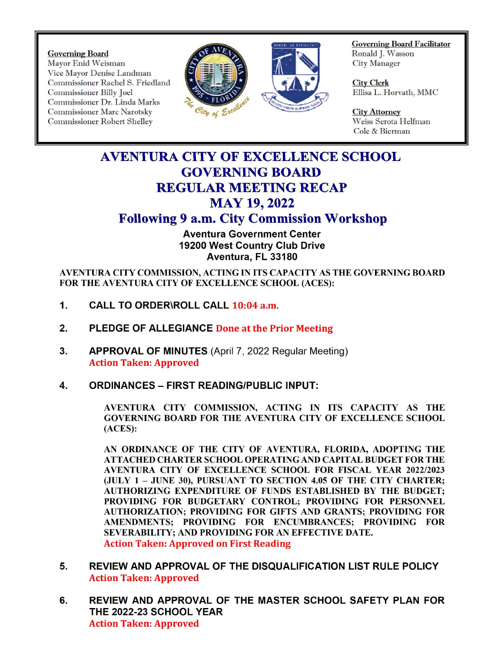Governing Board Mayor Enid Weisman Vice Mayor Demise Landman Commissioner Dr. Linda Marks Commissioner Marc Narotsky City of Executive Commissioner Robert Shelley City Attorney Commissioner Robert Shelley



Governing Board Facilitator Ronald J. Wasson<br>City Manager

Ellisa L. Horvath, MMC

Cole& Bierman

## AVENTURA CITY OF EXCELLENCE SCHOOL GOVERNING BOARD REGULAR MEETING RECAP **MAY 19, 2022**

## Following 9 a.m. City Commission Workshop

Aventura Government Center 19200 West Country Club Drive Aventura, FL 33180

AVENTURA CITY COMMISSION, ACTING IN ITS CAPACITY AS THE GOVERNING BOARD FOR THE AVENTURA CITY OF EXCELLENCE SCHOOL (ACES):

- 1. CALL TO ORDER\ROLL CALL 10:04 a.m.
- 2. PLEDGE OF ALLEGIANCE Done at the Prior Meeting
- 3. APPROVAL OF MINUTES (April 7, 2022 Regular Meeting) Action Taken: Approved
- 4. ORDINANCES FIRST READING/PUBLIC INPUT:

AVENTURA CITY COMMISSION, ACTING IN ITS CAPACITY AS THE GOVERNING BOARD FOR THE AVENTURA CITY OF EXCELLENCE SCHOOL ACES):

AN ORDINANCE OF THE CITY OF AVENTURA, FLORIDA, ADOPTING THE ATTACHED CHARTER SCHOOL OPERATING AND CAPITAL BUDGET FOR THE AVENTURA CITY OF EXCELLENCE SCHOOL FOR FISCAL YEAR 2022/2023 JULY 1 — JUNE 30), PURSUANT TO SECTION 4. 05 OF THE CITY CHARTER; AUTHORIZING EXPENDITURE OF FUNDS ESTABLISHED BY THE BUDGET; PROVIDING FOR BUDGETARY CONTROL; PROVIDING FOR PERSONNEL AUTHORIZATION; PROVIDING FOR GIFTS AND GRANTS; PROVIDING FOR AMENDMENTS; PROVIDING FOR ENCUMBRANCES; PROVIDING FOR SEVERABILITY; AND PROVIDING FOR AN EFFECTIVE DATE. Action Taken: Approved on First Reading

- 5. REVIEW AND APPROVAL OF THE DISQUALIFICATION LIST RULE POLICY Action Taken: Approved
- 6. REVIEW AND APPROVAL OF THE MASTER SCHOOL SAFETY PLAN FOR THE 2022-23 SCHOOL YEAR Action Taken: Approved